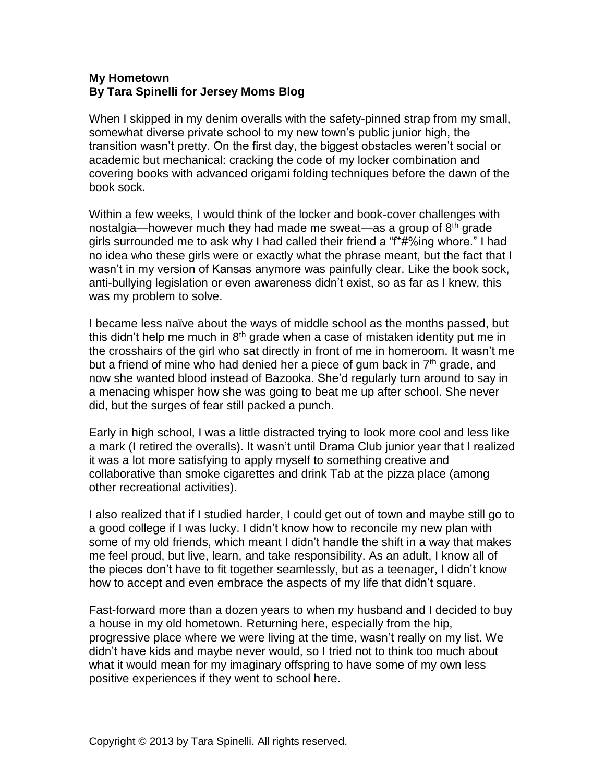## **My Hometown By Tara Spinelli for Jersey Moms Blog**

When I skipped in my denim overalls with the safety-pinned strap from my small, somewhat diverse private school to my new town's public junior high, the transition wasn't pretty. On the first day, the biggest obstacles weren't social or academic but mechanical: cracking the code of my locker combination and covering books with advanced origami folding techniques before the dawn of the book sock.

Within a few weeks, I would think of the locker and book-cover challenges with nostalgia—however much they had made me sweat—as a group of 8<sup>th</sup> grade girls surrounded me to ask why I had called their friend a "f\*#%ing whore." I had no idea who these girls were or exactly what the phrase meant, but the fact that I wasn't in my version of Kansas anymore was painfully clear. Like the book sock, anti-bullying legislation or even awareness didn't exist, so as far as I knew, this was my problem to solve.

I became less naïve about the ways of middle school as the months passed, but this didn't help me much in  $8<sup>th</sup>$  grade when a case of mistaken identity put me in the crosshairs of the girl who sat directly in front of me in homeroom. It wasn't me but a friend of mine who had denied her a piece of gum back in  $7<sup>th</sup>$  grade, and now she wanted blood instead of Bazooka. She'd regularly turn around to say in a menacing whisper how she was going to beat me up after school. She never did, but the surges of fear still packed a punch.

Early in high school, I was a little distracted trying to look more cool and less like a mark (I retired the overalls). It wasn't until Drama Club junior year that I realized it was a lot more satisfying to apply myself to something creative and collaborative than smoke cigarettes and drink Tab at the pizza place (among other recreational activities).

I also realized that if I studied harder, I could get out of town and maybe still go to a good college if I was lucky. I didn't know how to reconcile my new plan with some of my old friends, which meant I didn't handle the shift in a way that makes me feel proud, but live, learn, and take responsibility. As an adult, I know all of the pieces don't have to fit together seamlessly, but as a teenager, I didn't know how to accept and even embrace the aspects of my life that didn't square.

Fast-forward more than a dozen years to when my husband and I decided to buy a house in my old hometown. Returning here, especially from the hip, progressive place where we were living at the time, wasn't really on my list. We didn't have kids and maybe never would, so I tried not to think too much about what it would mean for my imaginary offspring to have some of my own less positive experiences if they went to school here.